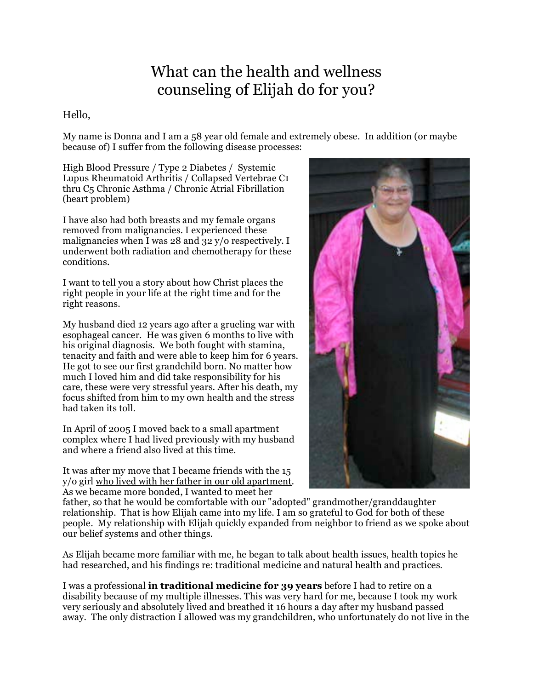# What can the health and wellness counseling of Elijah do for you?

#### Hello,

My name is Donna and I am a 58 year old female and extremely obese. In addition (or maybe because of) I suffer from the following disease processes:

High Blood Pressure / Type 2 Diabetes / Systemic Lupus Rheumatoid Arthritis / Collapsed Vertebrae C1 thru C5 Chronic Asthma / Chronic Atrial Fibrillation (heart problem)

I have also had both breasts and my female organs removed from malignancies. I experienced these malignancies when I was 28 and 32 y/o respectively. I underwent both radiation and chemotherapy for these conditions.

I want to tell you a story about how Christ places the right people in your life at the right time and for the right reasons.

My husband died 12 years ago after a grueling war with esophageal cancer. He was given 6 months to live with his original diagnosis. We both fought with stamina, tenacity and faith and were able to keep him for 6 years. He got to see our first grandchild born. No matter how much I loved him and did take responsibility for his care, these were very stressful years. After his death, my focus shifted from him to my own health and the stress had taken its toll.

In April of 2005 I moved back to a small apartment complex where I had lived previously with my husband and where a friend also lived at this time.

It was after my move that I became friends with the 15 y/o girl who lived with her father in our old apartment. As we became more bonded, I wanted to meet her



father, so that he would be comfortable with our "adopted" grandmother/granddaughter relationship. That is how Elijah came into my life. I am so grateful to God for both of these people. My relationship with Elijah quickly expanded from neighbor to friend as we spoke about our belief systems and other things.

As Elijah became more familiar with me, he began to talk about health issues, health topics he had researched, and his findings re: traditional medicine and natural health and practices.

I was a professional **in traditional medicine for 39 years** before I had to retire on a disability because of my multiple illnesses. This was very hard for me, because I took my work very seriously and absolutely lived and breathed it 16 hours a day after my husband passed away. The only distraction I allowed was my grandchildren, who unfortunately do not live in the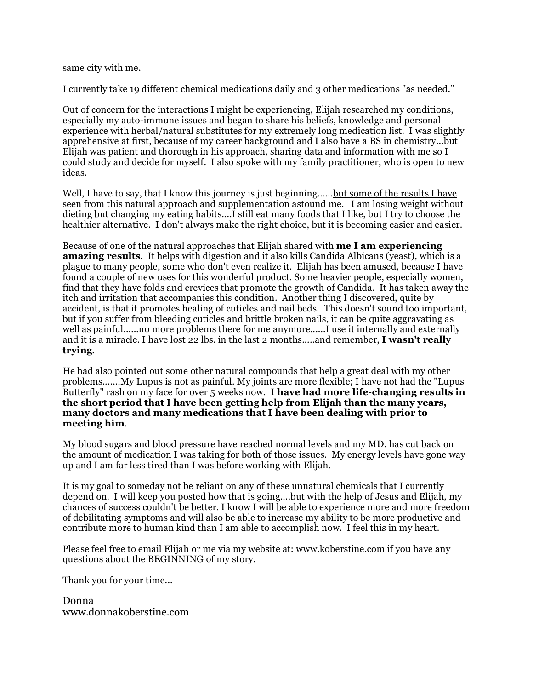same city with me.

I currently take 19 different chemical medications daily and 3 other medications "as needed."

Out of concern for the interactions I might be experiencing, Elijah researched my conditions, especially my auto-immune issues and began to share his beliefs, knowledge and personal experience with herbal/natural substitutes for my extremely long medication list. I was slightly apprehensive at first, because of my career background and I also have a BS in chemistry...but Elijah was patient and thorough in his approach, sharing data and information with me so I could study and decide for myself. I also spoke with my family practitioner, who is open to new ideas.

Well, I have to say, that I know this journey is just beginning......but some of the results I have seen from this natural approach and supplementation astound me. I am losing weight without dieting but changing my eating habits....I still eat many foods that I like, but I try to choose the healthier alternative. I don't always make the right choice, but it is becoming easier and easier.

Because of one of the natural approaches that Elijah shared with **me I am experiencing amazing results**. It helps with digestion and it also kills Candida Albicans (yeast), which is a plague to many people, some who don't even realize it. Elijah has been amused, because I have found a couple of new uses for this wonderful product. Some heavier people, especially women, find that they have folds and crevices that promote the growth of Candida. It has taken away the itch and irritation that accompanies this condition. Another thing I discovered, quite by accident, is that it promotes healing of cuticles and nail beds. This doesn't sound too important, but if you suffer from bleeding cuticles and brittle broken nails, it can be quite aggravating as well as painful......no more problems there for me anymore......I use it internally and externally and it is a miracle. I have lost 22 lbs. in the last 2 months.....and remember, **I wasn't really trying**.

He had also pointed out some other natural compounds that help a great deal with my other problems.......My Lupus is not as painful. My joints are more flexible; I have not had the "Lupus Butterfly" rash on my face for over 5 weeks now. **I have had more life-changing results in the short period that I have been getting help from Elijah than the many years, many doctors and many medications that I have been dealing with prior to meeting him**.

My blood sugars and blood pressure have reached normal levels and my MD. has cut back on the amount of medication I was taking for both of those issues. My energy levels have gone way up and I am far less tired than I was before working with Elijah.

It is my goal to someday not be reliant on any of these unnatural chemicals that I currently depend on. I will keep you posted how that is going....but with the help of Jesus and Elijah, my chances of success couldn't be better. I know I will be able to experience more and more freedom of debilitating symptoms and will also be able to increase my ability to be more productive and contribute more to human kind than I am able to accomplish now. I feel this in my heart.

Please feel free to email Elijah or me via my website at: www.koberstine.com if you have any questions about the BEGINNING of my story.

Thank you for your time...

Donna www.donnakoberstine.com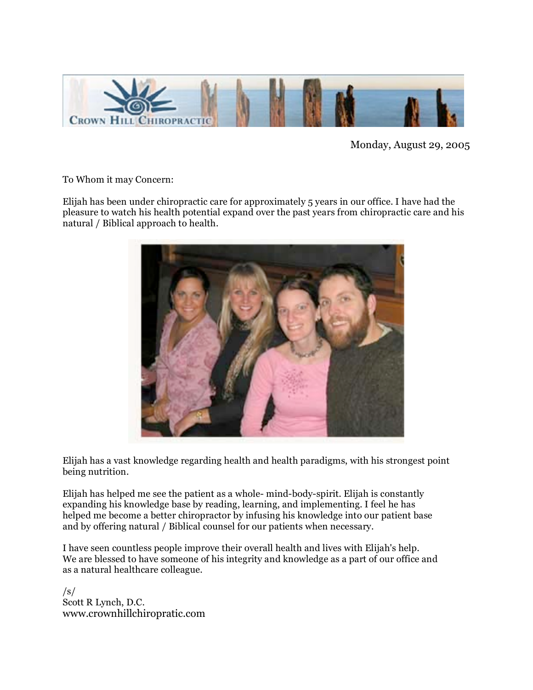

Monday, August 29, 2005

To Whom it may Concern:

Elijah has been under chiropractic care for approximately 5 years in our office. I have had the pleasure to watch his health potential expand over the past years from chiropractic care and his natural / Biblical approach to health.



Elijah has a vast knowledge regarding health and health paradigms, with his strongest point being nutrition.

Elijah has helped me see the patient as a whole- mind-body-spirit. Elijah is constantly expanding his knowledge base by reading, learning, and implementing. I feel he has helped me become a better chiropractor by infusing his knowledge into our patient base and by offering natural / Biblical counsel for our patients when necessary.

I have seen countless people improve their overall health and lives with Elijah's help. We are blessed to have someone of his integrity and knowledge as a part of our office and as a natural healthcare colleague.

 $\sqrt{s/2}$ Scott R Lynch, D.C. www.crownhillchiropratic.com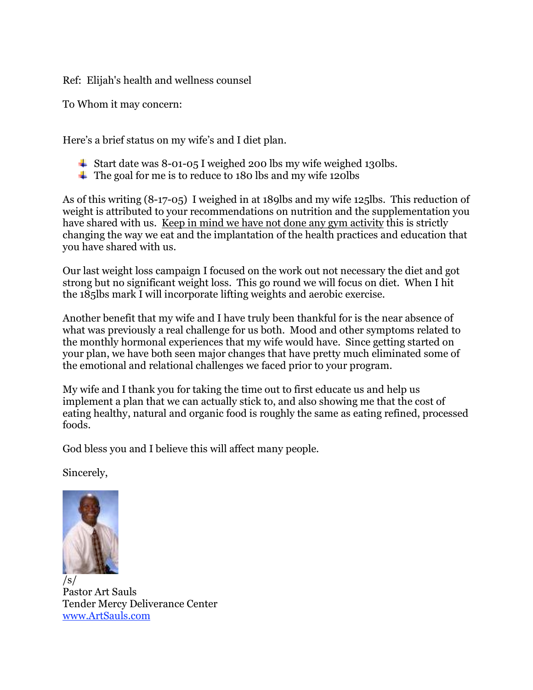Ref: Elijah's health and wellness counsel

To Whom it may concern:

Here's a brief status on my wife's and I diet plan.

- $\ddot{\bullet}$  Start date was 8-01-05 I weighed 200 lbs my wife weighed 130lbs.
- $\pm$  The goal for me is to reduce to 180 lbs and my wife 120lbs

As of this writing (8-17-05) I weighed in at 189lbs and my wife 125lbs. This reduction of weight is attributed to your recommendations on nutrition and the supplementation you have shared with us. Keep in mind we have not done any gym activity this is strictly changing the way we eat and the implantation of the health practices and education that you have shared with us.

Our last weight loss campaign I focused on the work out not necessary the diet and got strong but no significant weight loss. This go round we will focus on diet. When I hit the 185lbs mark I will incorporate lifting weights and aerobic exercise.

Another benefit that my wife and I have truly been thankful for is the near absence of what was previously a real challenge for us both. Mood and other symptoms related to the monthly hormonal experiences that my wife would have. Since getting started on your plan, we have both seen major changes that have pretty much eliminated some of the emotional and relational challenges we faced prior to your program.

My wife and I thank you for taking the time out to first educate us and help us implement a plan that we can actually stick to, and also showing me that the cost of eating healthy, natural and organic food is roughly the same as eating refined, processed foods.

God bless you and I believe this will affect many people.

Sincerely,



 $/s/$ Pastor Art Sauls Tender Mercy Deliverance Center www.ArtSauls.com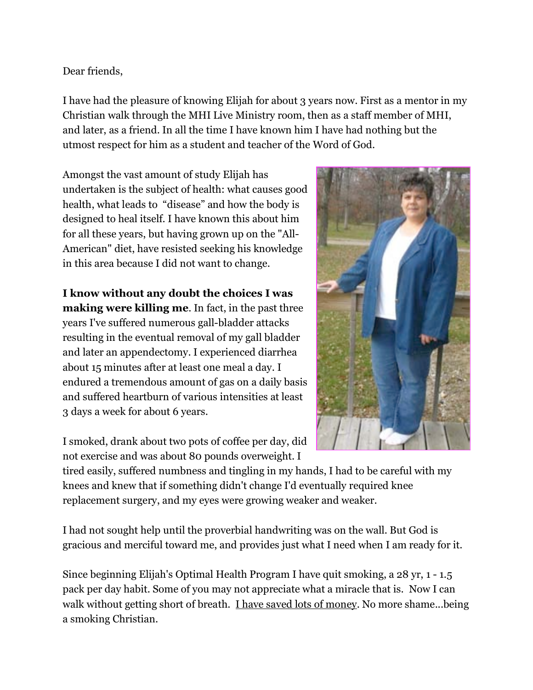#### Dear friends,

I have had the pleasure of knowing Elijah for about 3 years now. First as a mentor in my Christian walk through the MHI Live Ministry room, then as a staff member of MHI, and later, as a friend. In all the time I have known him I have had nothing but the utmost respect for him as a student and teacher of the Word of God.

Amongst the vast amount of study Elijah has undertaken is the subject of health: what causes good health, what leads to "disease" and how the body is designed to heal itself. I have known this about him for all these years, but having grown up on the "All-American" diet, have resisted seeking his knowledge in this area because I did not want to change.

**I know without any doubt the choices I was making were killing me**. In fact, in the past three years I've suffered numerous gall-bladder attacks resulting in the eventual removal of my gall bladder and later an appendectomy. I experienced diarrhea about 15 minutes after at least one meal a day. I endured a tremendous amount of gas on a daily basis and suffered heartburn of various intensities at least 3 days a week for about 6 years.

I smoked, drank about two pots of coffee per day, did not exercise and was about 80 pounds overweight. I



tired easily, suffered numbness and tingling in my hands, I had to be careful with my knees and knew that if something didn't change I'd eventually required knee replacement surgery, and my eyes were growing weaker and weaker.

I had not sought help until the proverbial handwriting was on the wall. But God is gracious and merciful toward me, and provides just what I need when I am ready for it.

Since beginning Elijah's Optimal Health Program I have quit smoking, a 28 yr, 1 - 1.5 pack per day habit. Some of you may not appreciate what a miracle that is. Now I can walk without getting short of breath. I have saved lots of money. No more shame...being a smoking Christian.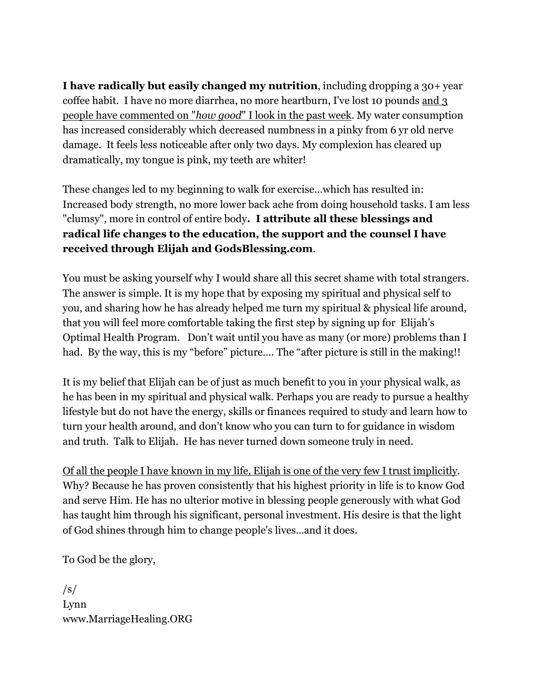**I have radically but easily changed my nutrition**, including dropping a 30+ year coffee habit. I have no more diarrhea, no more heartburn, I've lost 10 pounds and 3 people have commented on "*how good*" I look in the past week. My water consumption has increased considerably which decreased numbness in a pinky from 6 yr old nerve damage. It feels less noticeable after only two days. My complexion has cleared up dramatically, my tongue is pink, my teeth are whiter!

These changes led to my beginning to walk for exercise...which has resulted in: Increased body strength, no more lower back ache from doing household tasks. I am less "clumsy", more in control of entire body**. I attribute all these blessings and radical life changes to the education, the support and the counsel I have received through Elijah and GodsBlessing.com**.

You must be asking yourself why I would share all this secret shame with total strangers. The answer is simple. It is my hope that by exposing my spiritual and physical self to you, and sharing how he has already helped me turn my spiritual & physical life around, that you will feel more comfortable taking the first step by signing up for Elijah's Optimal Health Program. Don't wait until you have as many (or more) problems than I had. By the way, this is my "before" picture.... The "after picture is still in the making!!

It is my belief that Elijah can be of just as much benefit to you in your physical walk, as he has been in my spiritual and physical walk. Perhaps you are ready to pursue a healthy lifestyle but do not have the energy, skills or finances required to study and learn how to turn your health around, and don't know who you can turn to for guidance in wisdom and truth. Talk to Elijah. He has never turned down someone truly in need.

Of all the people I have known in my life, Elijah is one of the very few I trust implicitly. Why? Because he has proven consistently that his highest priority in life is to know God and serve Him. He has no ulterior motive in blessing people generously with what God has taught him through his significant, personal investment. His desire is that the light of God shines through him to change people's lives...and it does.

To God be the glory,

 $\sqrt{s}$ Lynn www.MarriageHealing.ORG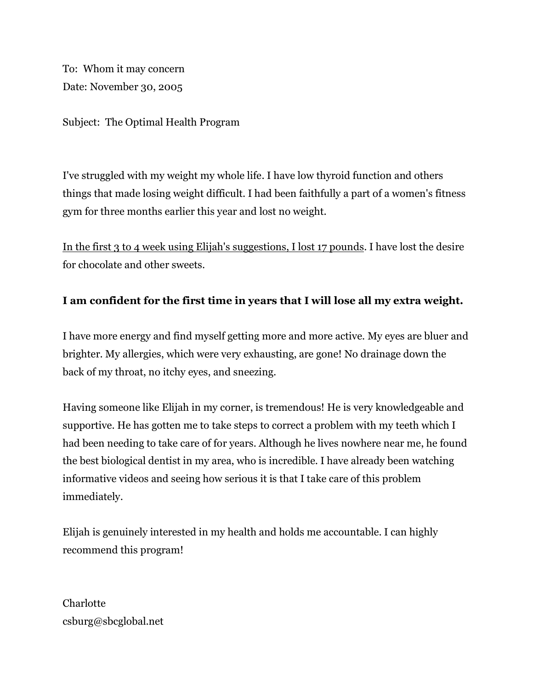To: Whom it may concern Date: November 30, 2005

Subject: The Optimal Health Program

I've struggled with my weight my whole life. I have low thyroid function and others things that made losing weight difficult. I had been faithfully a part of a women's fitness gym for three months earlier this year and lost no weight.

In the first 3 to 4 week using Elijah's suggestions, I lost 17 pounds. I have lost the desire for chocolate and other sweets.

## **I am confident for the first time in years that I will lose all my extra weight.**

I have more energy and find myself getting more and more active. My eyes are bluer and brighter. My allergies, which were very exhausting, are gone! No drainage down the back of my throat, no itchy eyes, and sneezing.

Having someone like Elijah in my corner, is tremendous! He is very knowledgeable and supportive. He has gotten me to take steps to correct a problem with my teeth which I had been needing to take care of for years. Although he lives nowhere near me, he found the best biological dentist in my area, who is incredible. I have already been watching informative videos and seeing how serious it is that I take care of this problem immediately.

Elijah is genuinely interested in my health and holds me accountable. I can highly recommend this program!

**Charlotte** csburg@sbcglobal.net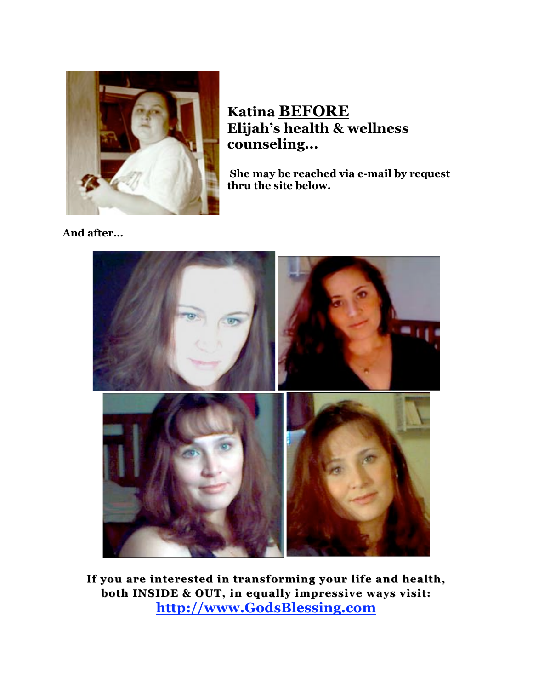

## **Katina BEFORE Elijah's health & wellness counseling...**

**She may be reached via e-mail by request thru the site below.**

**And after…**



**If you are interested in transforming your life and health, both INSIDE & OUT, in equally impressive ways visit: http://www.GodsBlessing.com**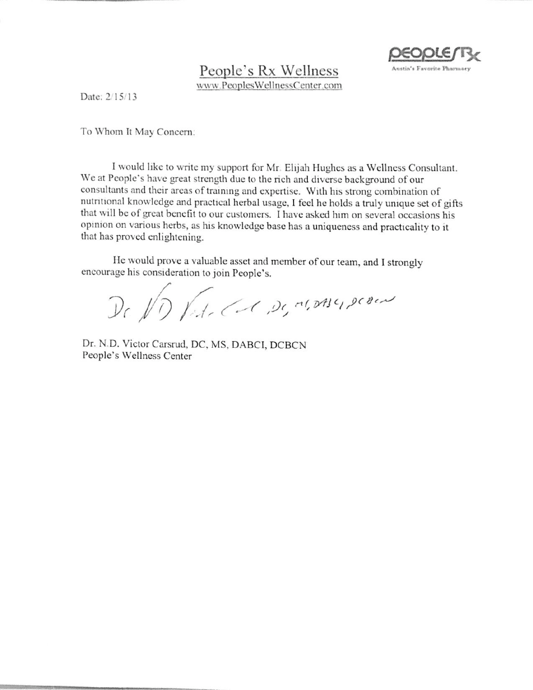

### People's Rx Wellness www.PeoplesWellnessCenter.com

Date: 2/15/13

To Whom It May Concern:

I would like to write my support for Mr. Elijah Hughes as a Wellness Consultant. We at People's have great strength due to the rich and diverse background of our consultants and their areas of training and expertise. With his strong combination of nutritional knowledge and practical herbal usage, I feel he holds a truly unique set of gifts that will be of great benefit to our customers. I have asked him on several occasions his opinion on various herbs, as his knowledge base has a uniqueness and practicality to it that has proved enlightening.

He would prove a valuable asset and member of our team, and I strongly encourage his consideration to join People's.

De VD Vet- (1 De, MOASCIPCON

Dr. N.D. Victor Carsrud, DC, MS, DABCI, DCBCN People's Wellness Center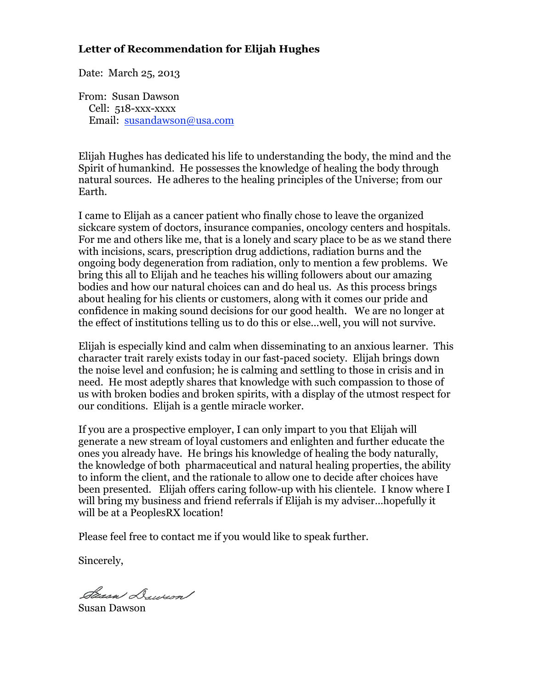#### **Letter of Recommendation for Elijah Hughes**

Date: March 25, 2013

From: Susan Dawson Cell: 518-xxx-xxxx Email: susandawson@usa.com

Elijah Hughes has dedicated his life to understanding the body, the mind and the Spirit of humankind. He possesses the knowledge of healing the body through natural sources. He adheres to the healing principles of the Universe; from our Earth.

I came to Elijah as a cancer patient who finally chose to leave the organized sickcare system of doctors, insurance companies, oncology centers and hospitals. For me and others like me, that is a lonely and scary place to be as we stand there with incisions, scars, prescription drug addictions, radiation burns and the ongoing body degeneration from radiation, only to mention a few problems. We bring this all to Elijah and he teaches his willing followers about our amazing bodies and how our natural choices can and do heal us. As this process brings about healing for his clients or customers, along with it comes our pride and confidence in making sound decisions for our good health. We are no longer at the effect of institutions telling us to do this or else…well, you will not survive.

Elijah is especially kind and calm when disseminating to an anxious learner. This character trait rarely exists today in our fast-paced society. Elijah brings down the noise level and confusion; he is calming and settling to those in crisis and in need. He most adeptly shares that knowledge with such compassion to those of us with broken bodies and broken spirits, with a display of the utmost respect for our conditions. Elijah is a gentle miracle worker.

If you are a prospective employer, I can only impart to you that Elijah will generate a new stream of loyal customers and enlighten and further educate the ones you already have. He brings his knowledge of healing the body naturally, the knowledge of both pharmaceutical and natural healing properties, the ability to inform the client, and the rationale to allow one to decide after choices have been presented. Elijah offers caring follow-up with his clientele. I know where I will bring my business and friend referrals if Elijah is my adviser…hopefully it will be at a PeoplesRX location!

Please feel free to contact me if you would like to speak further.

Sincerely,

Bassa Duwwon

Susan Dawson